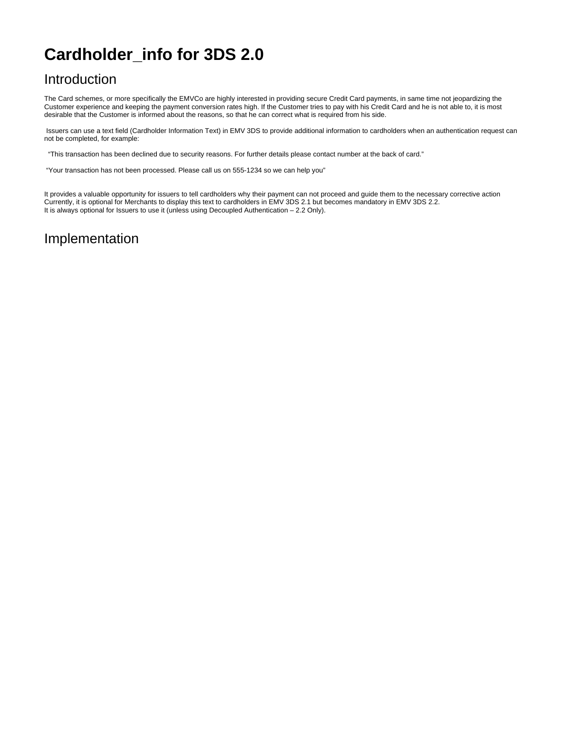## **Cardholder\_info for 3DS 2.0**

## Introduction

The Card schemes, or more specifically the EMVCo are highly interested in providing secure Credit Card payments, in same time not jeopardizing the Customer experience and keeping the payment conversion rates high. If the Customer tries to pay with his Credit Card and he is not able to, it is most desirable that the Customer is informed about the reasons, so that he can correct what is required from his side.

 Issuers can use a text field (Cardholder Information Text) in EMV 3DS to provide additional information to cardholders when an authentication request can not be completed, for example:

"This transaction has been declined due to security reasons. For further details please contact number at the back of card."

"Your transaction has not been processed. Please call us on 555-1234 so we can help you"

It provides a valuable opportunity for issuers to tell cardholders why their payment can not proceed and guide them to the necessary corrective action Currently, it is optional for Merchants to display this text to cardholders in EMV 3DS 2.1 but becomes mandatory in EMV 3DS 2.2. It is always optional for Issuers to use it (unless using Decoupled Authentication – 2.2 Only).

## Implementation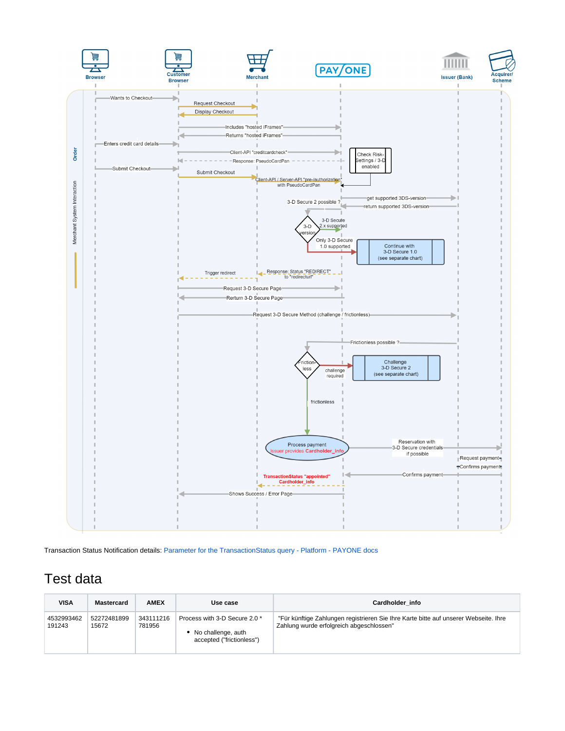

Transaction Status Notification details: [Parameter for the TransactionStatus query - Platform - PAYONE docs](https://docs.payone.com/display/PLATFORM/Parameter+for+the+TransactionStatus+query)

## Test data

| <b>VISA</b>          | <b>Mastercard</b>    | <b>AMEX</b>         | Use case                                                                         | Cardholder info                                                                                                                  |
|----------------------|----------------------|---------------------|----------------------------------------------------------------------------------|----------------------------------------------------------------------------------------------------------------------------------|
| 4532993462<br>191243 | 52272481899<br>15672 | 343111216<br>781956 | Process with 3-D Secure 2.0 *<br>No challenge, auth<br>accepted ("frictionless") | "Für künftige Zahlungen registrieren Sie Ihre Karte bitte auf unserer Webseite. Ihre<br>Zahlung wurde erfolgreich abgeschlossen" |